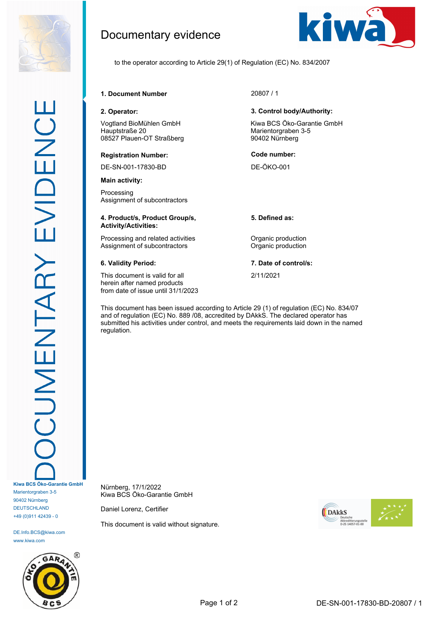

DE.Info.BCS@kiwa.com www.kiwa.com



# Documentary evidence



to the operator according to Article 29(1) of Regulation (EC) No. 834/2007

**1. Document Number** 20807 / 1

Vogtland BioMühlen GmbH Hauptstraße 20 08527 Plauen-OT Straßberg

### **Registration Number: Code number:**

DE-SN-001-17830-BD DE-ÖKO-001

**Main activity:**

Processing Assignment of subcontractors

### **4. Product/s, Product Group/s, Activity/Activities:**

Processing and related activities **Constanting Construction** Assignment of subcontractors **Contractors** Organic production

This document is valid for all herein after named products from date of issue until 31/1/2023

### **2. Operator: 3. Control body/Authority:**

Kiwa BCS Öko-Garantie GmbH Marientorgraben 3-5 90402 Nürnberg

**5. Defined as:**

**6. Validity Period: 7. Date of control/s:**

2/11/2021

This document has been issued according to Article 29 (1) of regulation (EC) No. 834/07 and of regulation (EC) No. 889 /08, accredited by DAkkS. The declared operator has submitted his activities under control, and meets the requirements laid down in the named regulation.

Nürnberg, 17/1/2022 Kiwa BCS Öko-Garantie GmbH

Daniel Lorenz, Certifier

This document is valid without signature.